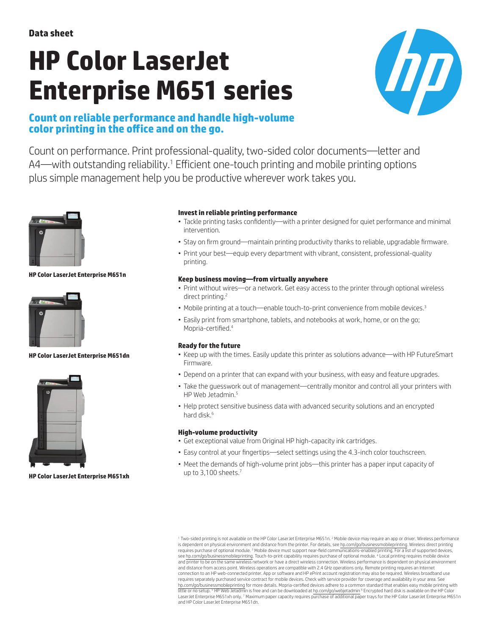# **HP Color LaserJet Enterprise M651 series**



# **Count on reliable performance and handle high-volume color printing in the office and on the go.**

Count on performance. Print professional-quality, two-sided color documents—letter and A4—with outstanding reliability.<sup>1</sup> Efficient one-touch printing and mobile printing options plus simple management help you be productive wherever work takes you.



#### **HP Color LaserJet Enterprise M651n**



#### **HP Color LaserJet Enterprise M651dn**



#### **HP Color LaserJet Enterprise M651xh**

#### **Invest in reliable printing performance**

- Tackle printing tasks confidently—with a printer designed for quiet performance and minimal intervention.
- Stay on firm ground—maintain printing productivity thanks to reliable, upgradable firmware.
- Print your best—equip every department with vibrant, consistent, professional-quality printing.

#### **Keep business moving—from virtually anywhere**

- Print without wires—or a network. Get easy access to the printer through optional wireless direct printing.<sup>2</sup>
- Mobile printing at a touch—enable touch-to-print convenience from mobile devices.<sup>3</sup>
- Easily print from smartphone, tablets, and notebooks at work, home, or on the go; Mopria-certified.<sup>4</sup>

#### **Ready for the future**

- • Keep up with the times. Easily update this printer as solutions advance—with HP FutureSmart Firmware.
- Depend on a printer that can expand with your business, with easy and feature upgrades.
- Take the guesswork out of management—centrally monitor and control all your printers with HP Web Jetadmin.<sup>5</sup>
- Help protect sensitive business data with advanced security solutions and an encrypted hard disk.<sup>6</sup>

#### **High-volume productivity**

- Get exceptional value from Original HP high-capacity ink cartridges.
- Easy control at your fingertips—select settings using the 4.3-inch color touchscreen.
- Meet the demands of high-volume print jobs—this printer has a paper input capacity of up to 3,100 sheets.<sup>7</sup>

<sup>1</sup> Two-sided printing is not available on the HP Color LaserJet Enterprise M651n. <sup>2</sup> Mobile device may require an app or driver. Wireless performance is dependent on physical environment and distance from the printer. For details, see [hp.com/go/businessmobileprinting.](http://hp.com/go/businessmobileprinting) Wireless direct printing<br>requires purchase of optional module. <sup>3</sup> Mobile device must support near-fiel see [hp.com/go/businessmobileprinting](http://hp.com/go/businessmobileprinting). Touch-to-print capability requires purchase of optional module. <sup>4</sup> Local printing requires mobile device and printer to be on the same wireless network or have a direct wireless connection. Wireless performance is dependent on physical environment and distance from access point. Wireless operations are compatible with 2.4 GHz operations only. Remote printing requires an Internet connection to an HP web-connected printer. App or software and HP ePrint account registration may also be required. Wireless broadband use requires separately purchased service contract for mobile devices. Check with service provider for coverage and availability in your area. See [hp.com/go/businessmobileprinting](http://hp.com/go/businessmobileprinting) for more details. Mopria-certified devices adhere to a common standard that enables easy mobile printing with<br>little or no setup. <sup>s</sup> HP Web Jetadmin is free and can be downloaded at hp.com LaserJet Enterprise M651xh only. 7 Maximum paper capacity requires purchase of additional paper trays for the HP Color LaserJet Enterprise M651n and HP Color LaserJet Enterprise M651dn.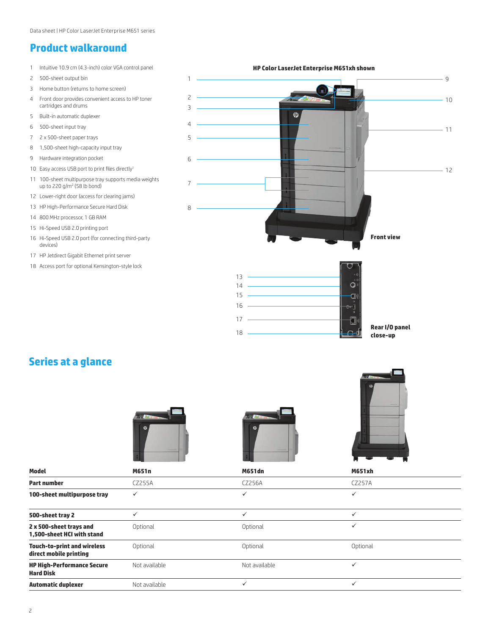## **Product walkaround**

- 1 Intuitive 10.9 cm (4.3-inch) color VGA control panel
- 2 500-sheet output bin
- 3 Home button (returns to home screen)
- 4 Front door provides convenient access to HP toner cartridges and drums
- 5 Built-in automatic duplexer
- 6 500-sheet input tray
- 7 2 x 500-sheet paper trays
- 8 1,500-sheet high-capacity input tray
- 9 Hardware integration pocket
- 10 Easy access USB port to print files directly<sup>1</sup>
- 11 100-sheet multipurpose tray supports media weights up to 220 g/m<sup>2</sup> (58 lb bond)
- 12 Lower-right door (access for clearing jams)
- 13 HP High-Performance Secure Hard Disk
- 14 800 MHz processor, 1 GB RAM
- 15 Hi-Speed USB 2.0 printing port
- 16 Hi-Speed USB 2.0 port (for connecting third-party devices)
- 17 HP Jetdirect Gigabit Ethernet print server
- 18 Access port for optional Kensington-style lock

**HP Color LaserJet Enterprise M651xh shown** 1 9 2  $-10$ 3  $\varphi$  $\Lambda$  $-11$ 5 6  $-12$ 7 8 **Front view**



# **Series at a glance**







| <b>Model</b>                                                 | M651n         | <b>M651dn</b> | <b>M651xh</b> |  |
|--------------------------------------------------------------|---------------|---------------|---------------|--|
| <b>Part number</b>                                           | CZ255A        | CZ256A        | CZ257A        |  |
| 100-sheet multipurpose tray                                  | $\checkmark$  | $\checkmark$  | ✓             |  |
| 500-sheet tray 2                                             | $\checkmark$  | $\checkmark$  | ✓             |  |
| 2 x 500-sheet trays and<br>1.500-sheet HCI with stand        | Optional      | Optional      | $\checkmark$  |  |
| <b>Touch-to-print and wireless</b><br>direct mobile printing | Optional      | Optional      | Optional      |  |
| <b>HP High-Performance Secure</b><br><b>Hard Disk</b>        | Not available | Not available |               |  |
| <b>Automatic duplexer</b>                                    | Not available |               |               |  |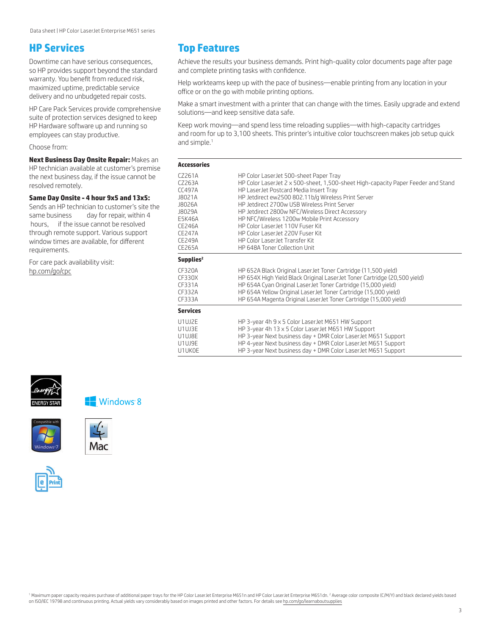### **HP Services**

Downtime can have serious consequences, so HP provides support beyond the standard warranty. You benefit from reduced risk, maximized uptime, predictable service delivery and no unbudgeted repair costs.

HP Care Pack Services provide comprehensive suite of protection services designed to keep HP Hardware software up and running so employees can stay productive.

Choose from:

**Next Business Day Onsite Repair:** Makes an HP technician available at customer's premise the next business day, if the issue cannot be resolved remotely.

#### **Same Day Onsite - 4 hour 9x5 and 13x5:**

Sends an HP technician to customer's site the same business day for repair, within 4 hours, if the issue cannot be resolved through remote support. Various support window times are available, for different requirements.

For care pack availability visit: [hp.com/go/cpc](http://h20560.www2.hp.com/portal/site/cpc?ac.admitted=1394033948616.2043657423.1959898185)



Achieve the results your business demands. Print high-quality color documents page after page and complete printing tasks with confidence.

Help workteams keep up with the pace of business—enable printing from any location in your office or on the go with mobile printing options.

Make a smart investment with a printer that can change with the times. Easily upgrade and extend solutions—and keep sensitive data safe.

Keep work moving—and spend less time reloading supplies—with high-capacity cartridges and room for up to 3,100 sheets. This printer's intuitive color touchscreen makes job setup quick and simple.<sup>1</sup>

| <b>Accessories</b>                                                                                                |                                                                                                                                                                                                                                                                                                                                                                                                                                                                                                                                |  |
|-------------------------------------------------------------------------------------------------------------------|--------------------------------------------------------------------------------------------------------------------------------------------------------------------------------------------------------------------------------------------------------------------------------------------------------------------------------------------------------------------------------------------------------------------------------------------------------------------------------------------------------------------------------|--|
| C7261A<br>C7263A<br>TC497A<br>J8021A<br>J8026A<br>J8029A<br>F5K46A<br>CF246A<br>CF247A<br><b>CF249A</b><br>CF265A | HP Color LaserJet 500-sheet Paper Tray<br>HP Color LaserJet 2 x 500-sheet, 1,500-sheet High-capacity Paper Feeder and Stand<br>HP LaserJet Postcard Media Insert Tray<br>HP Jetdirect ew2500 802.11b/g Wireless Print Server<br>HP Jetdirect 2700w USB Wireless Print Server<br>HP Jetdirect 2800w NFC/Wireless Direct Accessory<br>HP NFC/Wireless 1200w Mobile Print Accessory<br>HP Color Laser let 110V Fuser Kit<br>HP Color Laser let 220V Fuser Kit<br>HP Color Laser Jet Transfer Kit<br>HP 648A Toner Collection Unit |  |
| Supplies <sup>2</sup>                                                                                             |                                                                                                                                                                                                                                                                                                                                                                                                                                                                                                                                |  |
| CF320A<br>CF330X<br>CF331A<br>CF332A<br>CF333A                                                                    | HP 652A Black Original LaserJet Toner Cartridge (11,500 yield)<br>HP 654X High Yield Black Original LaserJet Toner Cartridge (20,500 yield)<br>HP 654A Cyan Original LaserJet Toner Cartridge (15,000 yield)<br>HP 654A Yellow Original LaserJet Toner Cartridge (15,000 yield)<br>HP 654A Magenta Original LaserJet Toner Cartridge (15,000 yield)                                                                                                                                                                            |  |
| <b>Services</b>                                                                                                   |                                                                                                                                                                                                                                                                                                                                                                                                                                                                                                                                |  |
| U1UJ2F<br>U1UJ3F<br>U1UJ8F<br>U1UJ9E<br>U1UK0F                                                                    | HP 3-year 4h 9 x 5 Color LaserJet M651 HW Support<br>HP 3-year 4h 13 x 5 Color LaserJet M651 HW Support<br>HP 3-year Next business day + DMR Color LaserJet M651 Support<br>HP 4-year Next business day + DMR Color LaserJet M651 Support<br>HP 3-year Next business day + DMR Color LaserJet M651 Support                                                                                                                                                                                                                     |  |